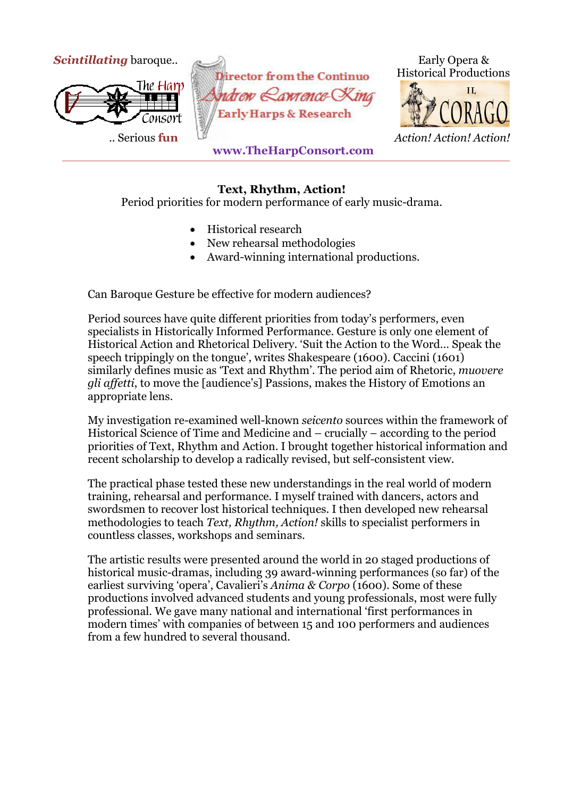

## **Text, Rhythm, Action!**

Period priorities for modern performance of early music-drama.

- Historical research
- New rehearsal methodologies
- Award-winning international productions.

Can Baroque Gesture be effective for modern audiences?

Period sources have quite different priorities from today's performers, even specialists in Historically Informed Performance. Gesture is only one element of Historical Action and Rhetorical Delivery. 'Suit the Action to the Word… Speak the speech trippingly on the tongue', writes Shakespeare (1600). Caccini (1601) similarly defines music as 'Text and Rhythm'. The period aim of Rhetoric, *muovere gli affetti*, to move the [audience's] Passions, makes the History of Emotions an appropriate lens.

My investigation re-examined well-known *seicento* sources within the framework of Historical Science of Time and Medicine and – crucially – according to the period priorities of Text, Rhythm and Action. I brought together historical information and recent scholarship to develop a radically revised, but self-consistent view.

The practical phase tested these new understandings in the real world of modern training, rehearsal and performance. I myself trained with dancers, actors and swordsmen to recover lost historical techniques. I then developed new rehearsal methodologies to teach *Text, Rhythm, Action!* skills to specialist performers in countless classes, workshops and seminars.

The artistic results were presented around the world in 20 staged productions of historical music-dramas, including 39 award-winning performances (so far) of the earliest surviving 'opera', Cavalieri's *Anima & Corpo* (1600). Some of these productions involved advanced students and young professionals, most were fully professional. We gave many national and international 'first performances in modern times' with companies of between 15 and 100 performers and audiences from a few hundred to several thousand.